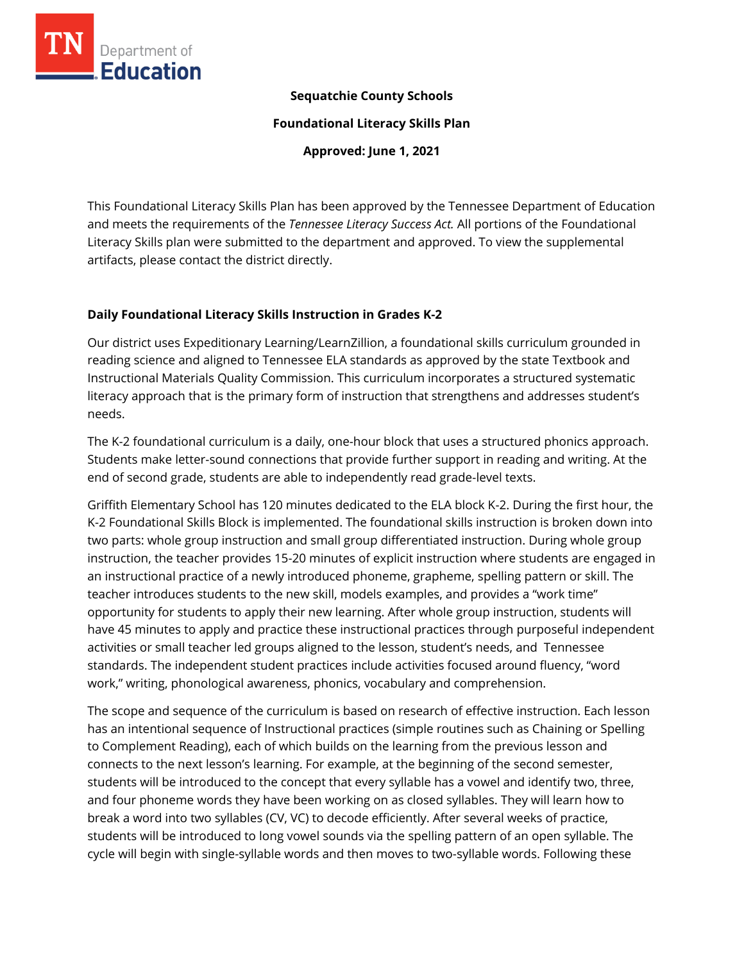

## **Sequatchie County Schools**

**Foundational Literacy Skills Plan**

**Approved: June 1, 2021**

This Foundational Literacy Skills Plan has been approved by the Tennessee Department of Education and meets the requirements of the *Tennessee Literacy Success Act.* All portions of the Foundational Literacy Skills plan were submitted to the department and approved. To view the supplemental artifacts, please contact the district directly.

### **Daily Foundational Literacy Skills Instruction in Grades K-2**

Our district uses Expeditionary Learning/LearnZillion, a foundational skills curriculum grounded in reading science and aligned to Tennessee ELA standards as approved by the state Textbook and Instructional Materials Quality Commission. This curriculum incorporates a structured systematic literacy approach that is the primary form of instruction that strengthens and addresses student's needs.

The K-2 foundational curriculum is a daily, one-hour block that uses a structured phonics approach. Students make letter-sound connections that provide further support in reading and writing. At the end of second grade, students are able to independently read grade-level texts.

Griffith Elementary School has 120 minutes dedicated to the ELA block K-2. During the first hour, the K-2 Foundational Skills Block is implemented. The foundational skills instruction is broken down into two parts: whole group instruction and small group differentiated instruction. During whole group instruction, the teacher provides 15-20 minutes of explicit instruction where students are engaged in an instructional practice of a newly introduced phoneme, grapheme, spelling pattern or skill. The teacher introduces students to the new skill, models examples, and provides a "work time" opportunity for students to apply their new learning. After whole group instruction, students will have 45 minutes to apply and practice these instructional practices through purposeful independent activities or small teacher led groups aligned to the lesson, student's needs, and Tennessee standards. The independent student practices include activities focused around fluency, "word work," writing, phonological awareness, phonics, vocabulary and comprehension.

The scope and sequence of the curriculum is based on research of effective instruction. Each lesson has an intentional sequence of Instructional practices (simple routines such as Chaining or Spelling to Complement Reading), each of which builds on the learning from the previous lesson and connects to the next lesson's learning. For example, at the beginning of the second semester, students will be introduced to the concept that every syllable has a vowel and identify two, three, and four phoneme words they have been working on as closed syllables. They will learn how to break a word into two syllables (CV, VC) to decode efficiently. After several weeks of practice, students will be introduced to long vowel sounds via the spelling pattern of an open syllable. The cycle will begin with single-syllable words and then moves to two-syllable words. Following these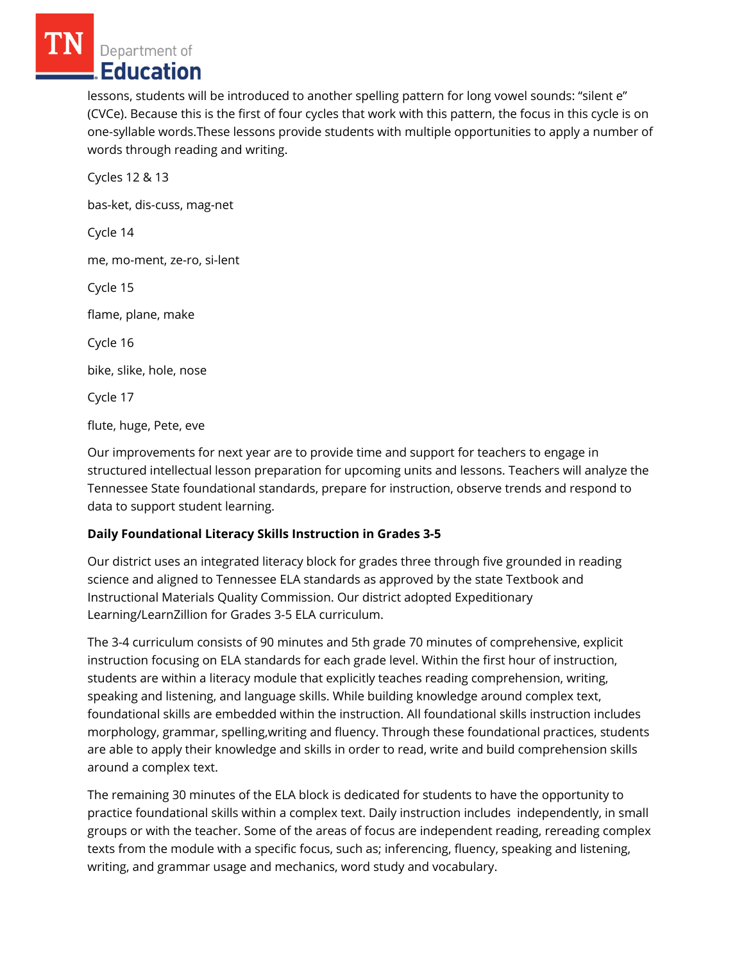Department of Education

lessons, students will be introduced to another spelling pattern for long vowel sounds: "silent e" (CVCe). Because this is the first of four cycles that work with this pattern, the focus in this cycle is on one-syllable words.These lessons provide students with multiple opportunities to apply a number of words through reading and writing.

Cycles 12 & 13 bas-ket, dis-cuss, mag-net Cycle 14 me, mo-ment, ze-ro, si-lent Cycle 15 flame, plane, make Cycle 16 bike, slike, hole, nose Cycle 17 flute, huge, Pete, eve

Our improvements for next year are to provide time and support for teachers to engage in structured intellectual lesson preparation for upcoming units and lessons. Teachers will analyze the Tennessee State foundational standards, prepare for instruction, observe trends and respond to data to support student learning.

### **Daily Foundational Literacy Skills Instruction in Grades 3-5**

Our district uses an integrated literacy block for grades three through five grounded in reading science and aligned to Tennessee ELA standards as approved by the state Textbook and Instructional Materials Quality Commission. Our district adopted Expeditionary Learning/LearnZillion for Grades 3-5 ELA curriculum.

The 3-4 curriculum consists of 90 minutes and 5th grade 70 minutes of comprehensive, explicit instruction focusing on ELA standards for each grade level. Within the first hour of instruction, students are within a literacy module that explicitly teaches reading comprehension, writing, speaking and listening, and language skills. While building knowledge around complex text, foundational skills are embedded within the instruction. All foundational skills instruction includes morphology, grammar, spelling,writing and fluency. Through these foundational practices, students are able to apply their knowledge and skills in order to read, write and build comprehension skills around a complex text.

The remaining 30 minutes of the ELA block is dedicated for students to have the opportunity to practice foundational skills within a complex text. Daily instruction includes independently, in small groups or with the teacher. Some of the areas of focus are independent reading, rereading complex texts from the module with a specific focus, such as; inferencing, fluency, speaking and listening, writing, and grammar usage and mechanics, word study and vocabulary.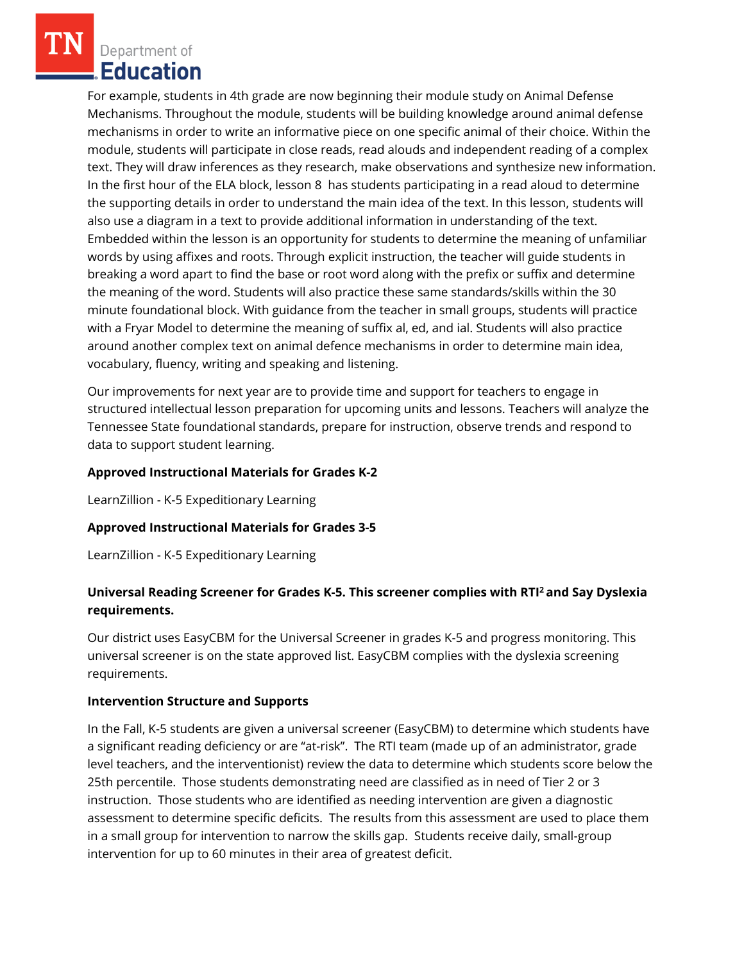Department of **Education** 

For example, students in 4th grade are now beginning their module study on Animal Defense Mechanisms. Throughout the module, students will be building knowledge around animal defense mechanisms in order to write an informative piece on one specific animal of their choice. Within the module, students will participate in close reads, read alouds and independent reading of a complex text. They will draw inferences as they research, make observations and synthesize new information. In the first hour of the ELA block, lesson 8 has students participating in a read aloud to determine the supporting details in order to understand the main idea of the text. In this lesson, students will also use a diagram in a text to provide additional information in understanding of the text. Embedded within the lesson is an opportunity for students to determine the meaning of unfamiliar words by using affixes and roots. Through explicit instruction, the teacher will guide students in breaking a word apart to find the base or root word along with the prefix or suffix and determine the meaning of the word. Students will also practice these same standards/skills within the 30 minute foundational block. With guidance from the teacher in small groups, students will practice with a Fryar Model to determine the meaning of suffix al, ed, and ial. Students will also practice around another complex text on animal defence mechanisms in order to determine main idea, vocabulary, fluency, writing and speaking and listening.

Our improvements for next year are to provide time and support for teachers to engage in structured intellectual lesson preparation for upcoming units and lessons. Teachers will analyze the Tennessee State foundational standards, prepare for instruction, observe trends and respond to data to support student learning.

### **Approved Instructional Materials for Grades K-2**

LearnZillion - K-5 Expeditionary Learning

### **Approved Instructional Materials for Grades 3-5**

LearnZillion - K-5 Expeditionary Learning

# **Universal Reading Screener for Grades K-5. This screener complies with RTI<sup>2</sup>and Say Dyslexia requirements.**

Our district uses EasyCBM for the Universal Screener in grades K-5 and progress monitoring. This universal screener is on the state approved list. EasyCBM complies with the dyslexia screening requirements.

### **Intervention Structure and Supports**

In the Fall, K-5 students are given a universal screener (EasyCBM) to determine which students have a significant reading deficiency or are "at-risk". The RTI team (made up of an administrator, grade level teachers, and the interventionist) review the data to determine which students score below the 25th percentile. Those students demonstrating need are classified as in need of Tier 2 or 3 instruction. Those students who are identified as needing intervention are given a diagnostic assessment to determine specific deficits. The results from this assessment are used to place them in a small group for intervention to narrow the skills gap. Students receive daily, small-group intervention for up to 60 minutes in their area of greatest deficit.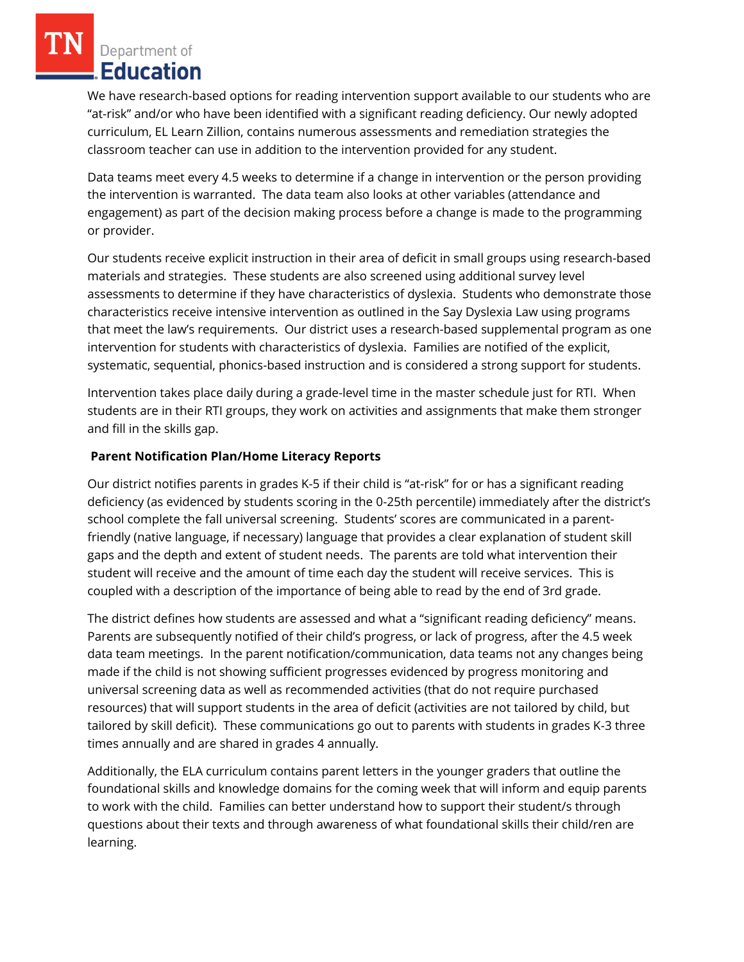Department of **Education** 

We have research-based options for reading intervention support available to our students who are "at-risk" and/or who have been identified with a significant reading deficiency. Our newly adopted curriculum, EL Learn Zillion, contains numerous assessments and remediation strategies the classroom teacher can use in addition to the intervention provided for any student.

Data teams meet every 4.5 weeks to determine if a change in intervention or the person providing the intervention is warranted. The data team also looks at other variables (attendance and engagement) as part of the decision making process before a change is made to the programming or provider.

Our students receive explicit instruction in their area of deficit in small groups using research-based materials and strategies. These students are also screened using additional survey level assessments to determine if they have characteristics of dyslexia. Students who demonstrate those characteristics receive intensive intervention as outlined in the Say Dyslexia Law using programs that meet the law's requirements. Our district uses a research-based supplemental program as one intervention for students with characteristics of dyslexia. Families are notified of the explicit, systematic, sequential, phonics-based instruction and is considered a strong support for students.

Intervention takes place daily during a grade-level time in the master schedule just for RTI. When students are in their RTI groups, they work on activities and assignments that make them stronger and fill in the skills gap.

### **Parent Notification Plan/Home Literacy Reports**

Our district notifies parents in grades K-5 if their child is "at-risk" for or has a significant reading deficiency (as evidenced by students scoring in the 0-25th percentile) immediately after the district's school complete the fall universal screening. Students' scores are communicated in a parentfriendly (native language, if necessary) language that provides a clear explanation of student skill gaps and the depth and extent of student needs. The parents are told what intervention their student will receive and the amount of time each day the student will receive services. This is coupled with a description of the importance of being able to read by the end of 3rd grade.

The district defines how students are assessed and what a "significant reading deficiency" means. Parents are subsequently notified of their child's progress, or lack of progress, after the 4.5 week data team meetings. In the parent notification/communication, data teams not any changes being made if the child is not showing sufficient progresses evidenced by progress monitoring and universal screening data as well as recommended activities (that do not require purchased resources) that will support students in the area of deficit (activities are not tailored by child, but tailored by skill deficit). These communications go out to parents with students in grades K-3 three times annually and are shared in grades 4 annually.

Additionally, the ELA curriculum contains parent letters in the younger graders that outline the foundational skills and knowledge domains for the coming week that will inform and equip parents to work with the child. Families can better understand how to support their student/s through questions about their texts and through awareness of what foundational skills their child/ren are learning.